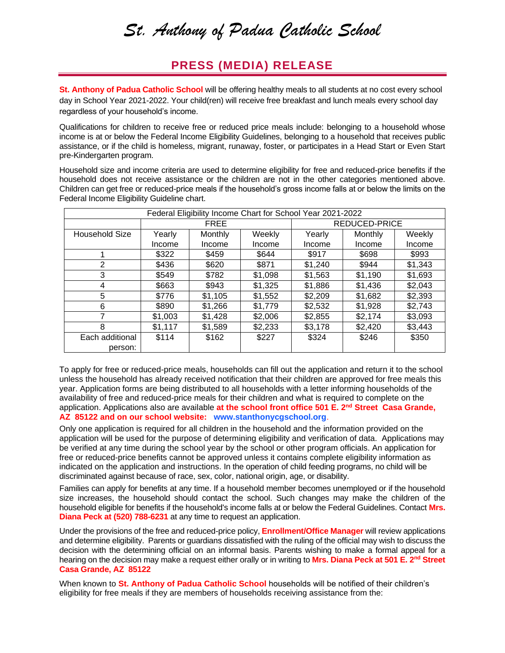## *St. Anthony of Padua Catholic School*

## **PRESS (MEDIA) RELEASE**

**St. Anthony of Padua Catholic School** will be offering healthy meals to all students at no cost every school day in School Year 2021-2022. Your child(ren) will receive free breakfast and lunch meals every school day regardless of your household's income.

Qualifications for children to receive free or reduced price meals include: belonging to a household whose income is at or below the Federal Income Eligibility Guidelines, belonging to a household that receives public assistance, or if the child is homeless, migrant, runaway, foster, or participates in a Head Start or Even Start pre-Kindergarten program.

Household size and income criteria are used to determine eligibility for free and reduced-price benefits if the household does not receive assistance or the children are not in the other categories mentioned above. Children can get free or reduced-price meals if the household's gross income falls at or below the limits on the Federal Income Eligibility Guideline chart.

| Federal Eligibility Income Chart for School Year 2021-2022 |             |         |         |               |         |         |
|------------------------------------------------------------|-------------|---------|---------|---------------|---------|---------|
|                                                            | <b>FREE</b> |         |         | REDUCED-PRICE |         |         |
| Household Size                                             | Yearly      | Monthly | Weekly  | Yearly        | Monthly | Weekly  |
|                                                            | Income      | Income  | Income  | Income        | Income  | Income  |
|                                                            | \$322       | \$459   | \$644   | \$917         | \$698   | \$993   |
| 2                                                          | \$436       | \$620   | \$871   | \$1,240       | \$944   | \$1,343 |
| 3                                                          | \$549       | \$782   | \$1,098 | \$1,563       | \$1,190 | \$1,693 |
| 4                                                          | \$663       | \$943   | \$1,325 | \$1,886       | \$1,436 | \$2,043 |
| 5                                                          | \$776       | \$1,105 | \$1,552 | \$2,209       | \$1,682 | \$2,393 |
| 6                                                          | \$890       | \$1,266 | \$1,779 | \$2,532       | \$1,928 | \$2,743 |
|                                                            | \$1,003     | \$1,428 | \$2,006 | \$2,855       | \$2,174 | \$3,093 |
| 8                                                          | \$1,117     | \$1,589 | \$2,233 | \$3,178       | \$2,420 | \$3,443 |
| Each additional                                            | \$114       | \$162   | \$227   | \$324         | \$246   | \$350   |
| person:                                                    |             |         |         |               |         |         |

To apply for free or reduced-price meals, households can fill out the application and return it to the school unless the household has already received notification that their children are approved for free meals this year. Application forms are being distributed to all households with a letter informing households of the availability of free and reduced-price meals for their children and what is required to complete on the application. Applications also are available **at the school front office 501 E. 2nd Street Casa Grande, AZ 85122 and on our school website: www.stanthonycgschool.org**.

Only one application is required for all children in the household and the information provided on the application will be used for the purpose of determining eligibility and verification of data. Applications may be verified at any time during the school year by the school or other program officials. An application for free or reduced-price benefits cannot be approved unless it contains complete eligibility information as indicated on the application and instructions. In the operation of child feeding programs, no child will be discriminated against because of race, sex, color, national origin, age, or disability.

Families can apply for benefits at any time. If a household member becomes unemployed or if the household size increases, the household should contact the school. Such changes may make the children of the household eligible for benefits if the household's income falls at or below the Federal Guidelines. Contact **Mrs. Diana Peck at (520) 788-6231** at any time to request an application.

Under the provisions of the free and reduced-price policy, **Enrollment/Office Manager** will review applications and determine eligibility. Parents or guardians dissatisfied with the ruling of the official may wish to discuss the decision with the determining official on an informal basis. Parents wishing to make a formal appeal for a hearing on the decision may make a request either orally or in writing to **Mrs. Diana Peck at 501 E. 2nd Street Casa Grande, AZ 85122**

When known to **St. Anthony of Padua Catholic School** households will be notified of their children's eligibility for free meals if they are members of households receiving assistance from the: